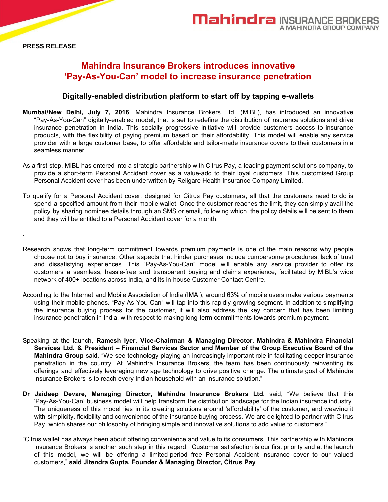.

# **Mahindra Insurance Brokers introduces innovative 'Pay-As-You-Can' model to increase insurance penetration**

# **Digitally-enabled distribution platform to start off by tapping e-wallets**

- **Mumbai/New Delhi, July 7, 2016**: Mahindra Insurance Brokers Ltd. (MIBL), has introduced an innovative "Pay-As-You-Can" digitally-enabled model, that is set to redefine the distribution of insurance solutions and drive insurance penetration in India. This socially progressive initiative will provide customers access to insurance products, with the flexibility of paying premium based on their affordability. This model will enable any service provider with a large customer base, to offer affordable and tailor-made insurance covers to their customers in a seamless manner.
- As a first step, MIBL has entered into a strategic partnership with Citrus Pay, a leading payment solutions company, to provide a short-term Personal Accident cover as a value-add to their loyal customers. This customised Group Personal Accident cover has been underwritten by Religare Health Insurance Company Limited.
- To qualify for a Personal Accident cover, designed for Citrus Pay customers, all that the customers need to do is spend a specified amount from their mobile wallet. Once the customer reaches the limit, they can simply avail the policy by sharing nominee details through an SMS or email, following which, the policy details will be sent to them and they will be entitled to a Personal Accident cover for a month.
- Research shows that long-term commitment towards premium payments is one of the main reasons why people choose not to buy insurance. Other aspects that hinder purchases include cumbersome procedures, lack of trust and dissatisfying experiences. This "Pay-As-You-Can" model will enable any service provider to offer its customers a seamless, hassle-free and transparent buying and claims experience, facilitated by MIBL's wide network of 400+ locations across India, and its in-house Customer Contact Centre.
- According to the Internet and Mobile Association of India (IMAI), around 63% of mobile users make various payments using their mobile phones. "Pay-As-You-Can" will tap into this rapidly growing segment. In addition to simplifying the insurance buying process for the customer, it will also address the key concern that has been limiting insurance penetration in India, with respect to making long-term commitments towards premium payment.
- Speaking at the launch, **Ramesh Iyer, Vice-Chairman & Managing Director, Mahindra & Mahindra Financial Services Ltd. & President – Financial Services Sector and Member of the Group Executive Board of the Mahindra Group** said, "We see technology playing an increasingly important role in facilitating deeper insurance penetration in the country. At Mahindra Insurance Brokers, the team has been continuously reinventing its offerings and effectively leveraging new age technology to drive positive change. The ultimate goal of Mahindra Insurance Brokers is to reach every Indian household with an insurance solution."
- **Dr Jaideep Devare, Managing Director, Mahindra Insurance Brokers Ltd.** said, "We believe that this 'Pay-As-You-Can' business model will help transform the distribution landscape for the Indian insurance industry. The uniqueness of this model lies in its creating solutions around 'affordability' of the customer, and weaving it with simplicity, flexibility and convenience of the insurance buying process. We are delighted to partner with Citrus Pay, which shares our philosophy of bringing simple and innovative solutions to add value to customers."
- "Citrus wallet has always been about offering convenience and value to its consumers. This partnership with Mahindra Insurance Brokers is another such step in this regard. Customer satisfaction is our first priority and at the launch of this model, we will be offering a limited-period free Personal Accident insurance cover to our valued customers," **said Jitendra Gupta, Founder & Managing Director, Citrus Pay**.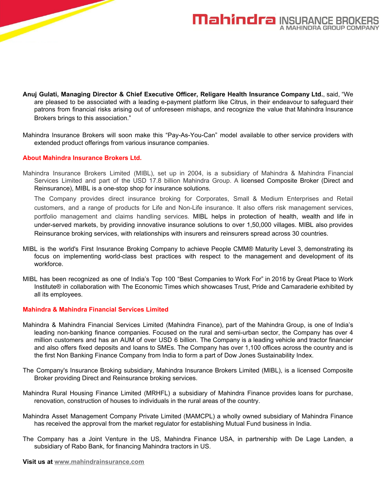

- **Anuj Gulati, Managing Director & Chief Executive Officer, Religare Health Insurance Company Ltd.**, said, "We are pleased to be associated with a leading e-payment platform like Citrus, in their endeavour to safeguard their patrons from financial risks arising out of unforeseen mishaps, and recognize the value that Mahindra Insurance Brokers brings to this association."
- Mahindra Insurance Brokers will soon make this "Pay-As-You-Can" model available to other service providers with extended product offerings from various insurance companies.

# **About Mahindra Insurance Brokers Ltd.**

Mahindra Insurance Brokers Limited (MIBL), set up in 2004, is a subsidiary of Mahindra & Mahindra Financial Services Limited and part of the USD 17.8 billion Mahindra Group. A licensed Composite Broker (Direct and Reinsurance), MIBL is a one-stop shop for insurance solutions.

The Company provides direct insurance broking for Corporates, Small & Medium Enterprises and Retail customers, and a range of products for Life and Non-Life insurance. It also offers risk management services, portfolio management and claims handling services. MIBL helps in protection of health, wealth and life in under-served markets, by providing innovative insurance solutions to over 1,50,000 villages. MIBL also provides Reinsurance broking services, with relationships with insurers and reinsurers spread across 30 countries.

- MIBL is the world's First Insurance Broking Company to achieve People CMM® Maturity Level 3, demonstrating its focus on implementing world-class best practices with respect to the management and development of its workforce.
- MIBL has been recognized as one of India's Top 100 "Best Companies to Work For" in 2016 by Great Place to Work Institute® in collaboration with The Economic Times which showcases Trust, Pride and Camaraderie exhibited by all its employees.

#### **Mahindra & Mahindra Financial Services Limited**

- Mahindra & Mahindra Financial Services Limited (Mahindra Finance), part of the Mahindra Group, is one of India's leading non-banking finance companies. Focused on the rural and semi-urban sector, the Company has over 4 million customers and has an AUM of over USD 6 billion. The Company is a leading vehicle and tractor financier and also offers fixed deposits and loans to SMEs. The Company has over 1,100 offices across the country and is the first Non Banking Finance Company from India to form a part of Dow Jones Sustainability Index.
- The Company's Insurance Broking subsidiary, Mahindra Insurance Brokers Limited (MIBL), is a licensed Composite Broker providing Direct and Reinsurance broking services.
- Mahindra Rural Housing Finance Limited (MRHFL) a subsidiary of Mahindra Finance provides loans for purchase, renovation, construction of houses to individuals in the rural areas of the country.
- Mahindra Asset Management Company Private Limited (MAMCPL) a wholly owned subsidiary of Mahindra Finance has received the approval from the market regulator for establishing Mutual Fund business in India.
- The Company has a Joint Venture in the US, Mahindra Finance USA, in partnership with De Lage Landen, a subsidiary of Rabo Bank, for financing Mahindra tractors in US.

**Visit us at www.mahindrainsurance.com**